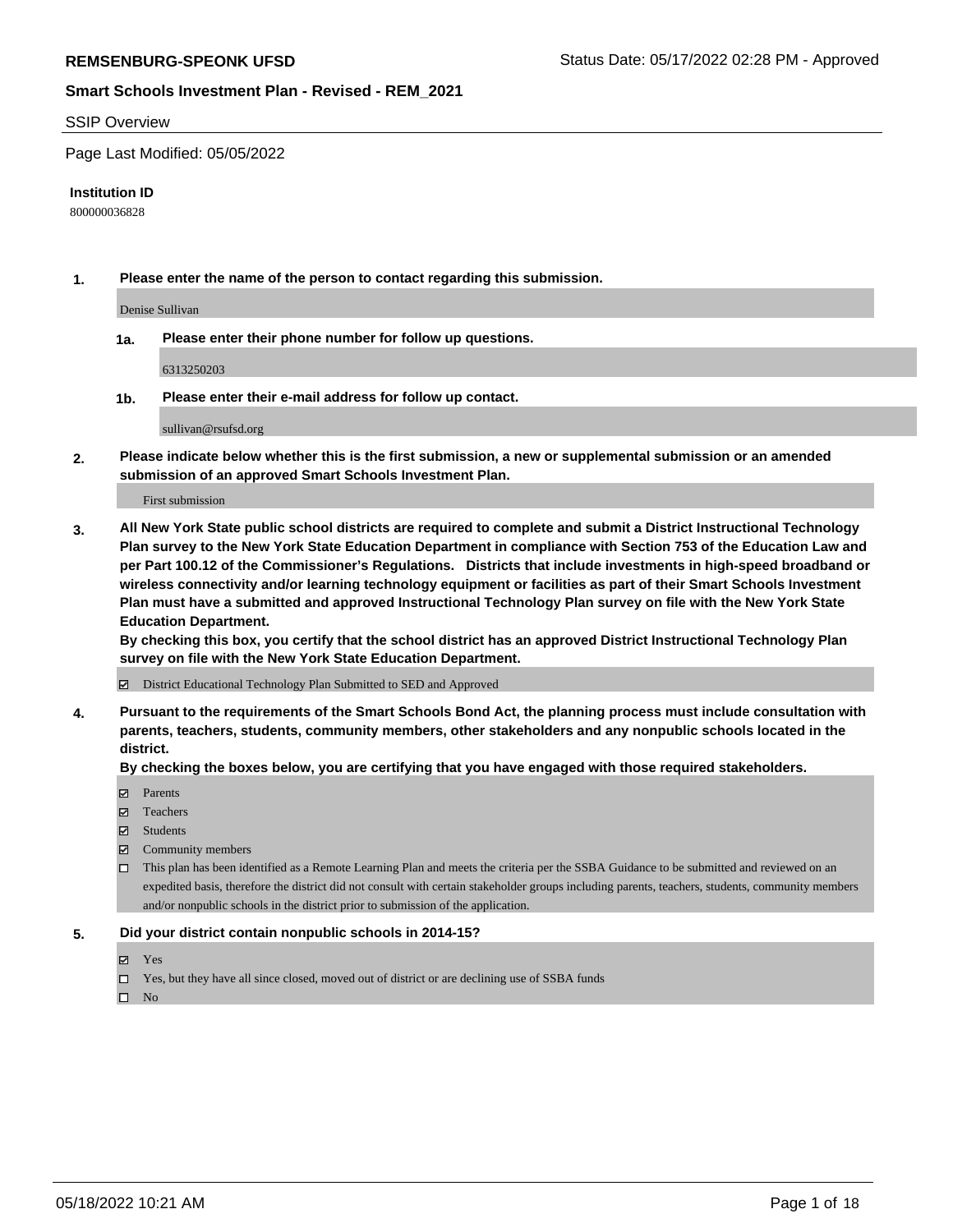#### SSIP Overview

Page Last Modified: 05/05/2022

#### **Institution ID**

800000036828

**1. Please enter the name of the person to contact regarding this submission.**

Denise Sullivan

**1a. Please enter their phone number for follow up questions.**

6313250203

**1b. Please enter their e-mail address for follow up contact.**

sullivan@rsufsd.org

**2. Please indicate below whether this is the first submission, a new or supplemental submission or an amended submission of an approved Smart Schools Investment Plan.**

First submission

**3. All New York State public school districts are required to complete and submit a District Instructional Technology Plan survey to the New York State Education Department in compliance with Section 753 of the Education Law and per Part 100.12 of the Commissioner's Regulations. Districts that include investments in high-speed broadband or wireless connectivity and/or learning technology equipment or facilities as part of their Smart Schools Investment Plan must have a submitted and approved Instructional Technology Plan survey on file with the New York State Education Department.** 

**By checking this box, you certify that the school district has an approved District Instructional Technology Plan survey on file with the New York State Education Department.**

District Educational Technology Plan Submitted to SED and Approved

**4. Pursuant to the requirements of the Smart Schools Bond Act, the planning process must include consultation with parents, teachers, students, community members, other stakeholders and any nonpublic schools located in the district.** 

**By checking the boxes below, you are certifying that you have engaged with those required stakeholders.**

- $\blacksquare$  Parents
- Teachers
- Students
- $\Xi$  Community members
- This plan has been identified as a Remote Learning Plan and meets the criteria per the SSBA Guidance to be submitted and reviewed on an expedited basis, therefore the district did not consult with certain stakeholder groups including parents, teachers, students, community members and/or nonpublic schools in the district prior to submission of the application.

#### **5. Did your district contain nonpublic schools in 2014-15?**

- Yes
- $\Box$  Yes, but they have all since closed, moved out of district or are declining use of SSBA funds

 $\square$  No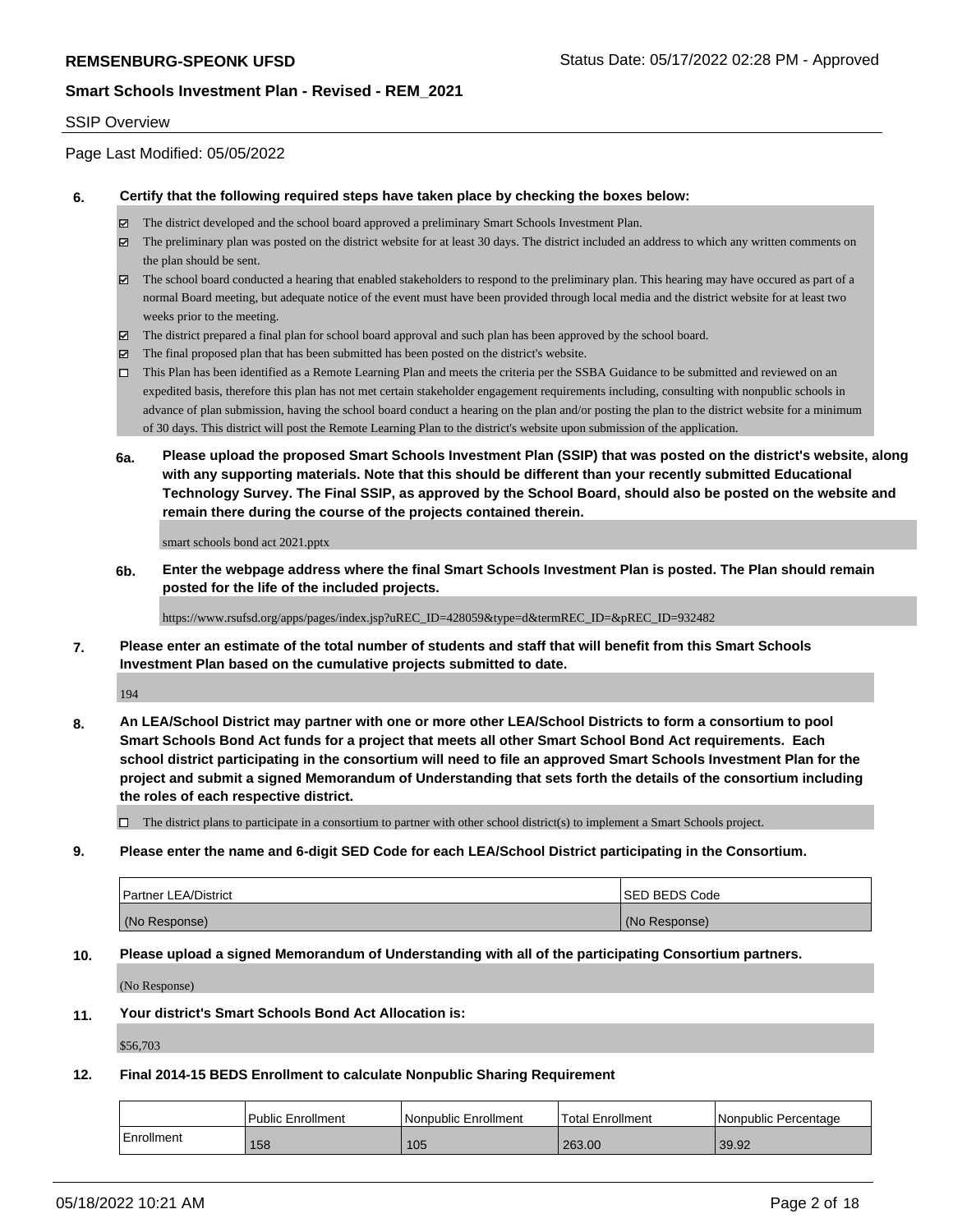#### SSIP Overview

Page Last Modified: 05/05/2022

#### **6. Certify that the following required steps have taken place by checking the boxes below:**

- The district developed and the school board approved a preliminary Smart Schools Investment Plan.
- $\boxtimes$  The preliminary plan was posted on the district website for at least 30 days. The district included an address to which any written comments on the plan should be sent.
- $\boxtimes$  The school board conducted a hearing that enabled stakeholders to respond to the preliminary plan. This hearing may have occured as part of a normal Board meeting, but adequate notice of the event must have been provided through local media and the district website for at least two weeks prior to the meeting.
- The district prepared a final plan for school board approval and such plan has been approved by the school board.
- $\boxtimes$  The final proposed plan that has been submitted has been posted on the district's website.
- This Plan has been identified as a Remote Learning Plan and meets the criteria per the SSBA Guidance to be submitted and reviewed on an expedited basis, therefore this plan has not met certain stakeholder engagement requirements including, consulting with nonpublic schools in advance of plan submission, having the school board conduct a hearing on the plan and/or posting the plan to the district website for a minimum of 30 days. This district will post the Remote Learning Plan to the district's website upon submission of the application.
- **6a. Please upload the proposed Smart Schools Investment Plan (SSIP) that was posted on the district's website, along with any supporting materials. Note that this should be different than your recently submitted Educational Technology Survey. The Final SSIP, as approved by the School Board, should also be posted on the website and remain there during the course of the projects contained therein.**

smart schools bond act 2021.pptx

**6b. Enter the webpage address where the final Smart Schools Investment Plan is posted. The Plan should remain posted for the life of the included projects.**

https://www.rsufsd.org/apps/pages/index.jsp?uREC\_ID=428059&type=d&termREC\_ID=&pREC\_ID=932482

**7. Please enter an estimate of the total number of students and staff that will benefit from this Smart Schools Investment Plan based on the cumulative projects submitted to date.**

194

**8. An LEA/School District may partner with one or more other LEA/School Districts to form a consortium to pool Smart Schools Bond Act funds for a project that meets all other Smart School Bond Act requirements. Each school district participating in the consortium will need to file an approved Smart Schools Investment Plan for the project and submit a signed Memorandum of Understanding that sets forth the details of the consortium including the roles of each respective district.**

 $\Box$  The district plans to participate in a consortium to partner with other school district(s) to implement a Smart Schools project.

**9. Please enter the name and 6-digit SED Code for each LEA/School District participating in the Consortium.**

| <b>Partner LEA/District</b> | <b>ISED BEDS Code</b> |
|-----------------------------|-----------------------|
| (No Response)               | (No Response)         |

#### **10. Please upload a signed Memorandum of Understanding with all of the participating Consortium partners.**

(No Response)

## **11. Your district's Smart Schools Bond Act Allocation is:**

\$56,703

#### **12. Final 2014-15 BEDS Enrollment to calculate Nonpublic Sharing Requirement**

|            | Public Enrollment | Nonpublic Enrollment | <b>Total Enrollment</b> | Nonpublic Percentage |
|------------|-------------------|----------------------|-------------------------|----------------------|
| Enrollment | 158               | 105                  | 263.00                  | 39.92                |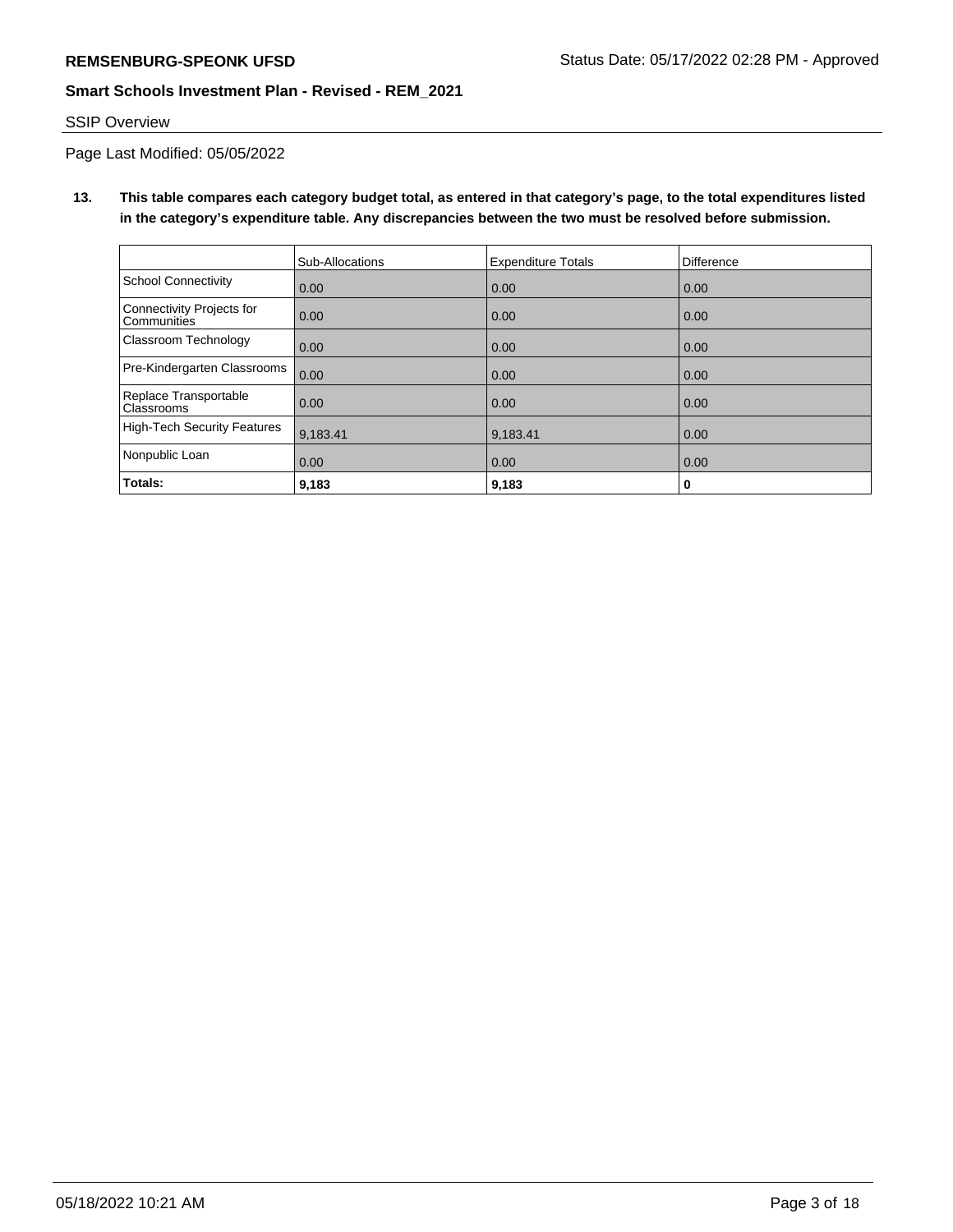# SSIP Overview

Page Last Modified: 05/05/2022

**13. This table compares each category budget total, as entered in that category's page, to the total expenditures listed in the category's expenditure table. Any discrepancies between the two must be resolved before submission.**

|                                            | Sub-Allocations | <b>Expenditure Totals</b> | Difference |
|--------------------------------------------|-----------------|---------------------------|------------|
| <b>School Connectivity</b>                 | 0.00            | 0.00                      | 0.00       |
| Connectivity Projects for<br>l Communities | 0.00            | 0.00                      | 0.00       |
| Classroom Technology                       | 0.00            | 0.00                      | 0.00       |
| Pre-Kindergarten Classrooms                | 0.00            | 0.00                      | 0.00       |
| Replace Transportable<br><b>Classrooms</b> | 0.00            | 0.00                      | 0.00       |
| High-Tech Security Features                | 9,183.41        | 9,183.41                  | 0.00       |
| Nonpublic Loan                             | 0.00            | 0.00                      | 0.00       |
| Totals:                                    | 9,183           | 9,183                     | 0          |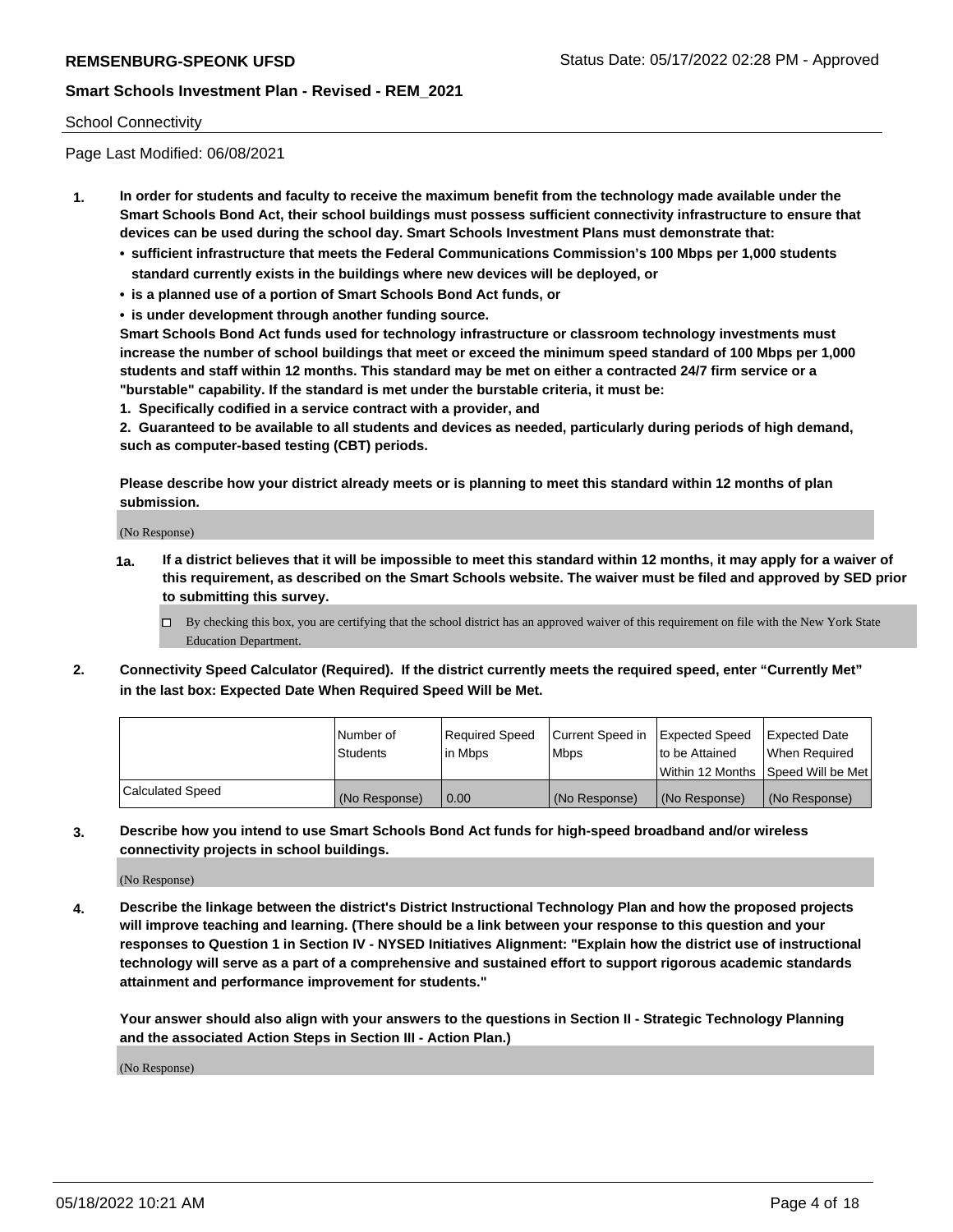#### School Connectivity

Page Last Modified: 06/08/2021

- **1. In order for students and faculty to receive the maximum benefit from the technology made available under the Smart Schools Bond Act, their school buildings must possess sufficient connectivity infrastructure to ensure that devices can be used during the school day. Smart Schools Investment Plans must demonstrate that:**
	- **• sufficient infrastructure that meets the Federal Communications Commission's 100 Mbps per 1,000 students standard currently exists in the buildings where new devices will be deployed, or**
	- **• is a planned use of a portion of Smart Schools Bond Act funds, or**
	- **• is under development through another funding source.**

**Smart Schools Bond Act funds used for technology infrastructure or classroom technology investments must increase the number of school buildings that meet or exceed the minimum speed standard of 100 Mbps per 1,000 students and staff within 12 months. This standard may be met on either a contracted 24/7 firm service or a "burstable" capability. If the standard is met under the burstable criteria, it must be:**

**1. Specifically codified in a service contract with a provider, and**

**2. Guaranteed to be available to all students and devices as needed, particularly during periods of high demand, such as computer-based testing (CBT) periods.**

**Please describe how your district already meets or is planning to meet this standard within 12 months of plan submission.**

(No Response)

- **1a. If a district believes that it will be impossible to meet this standard within 12 months, it may apply for a waiver of this requirement, as described on the Smart Schools website. The waiver must be filed and approved by SED prior to submitting this survey.**
	- By checking this box, you are certifying that the school district has an approved waiver of this requirement on file with the New York State Education Department.
- **2. Connectivity Speed Calculator (Required). If the district currently meets the required speed, enter "Currently Met" in the last box: Expected Date When Required Speed Will be Met.**

|                  | l Number of     | Required Speed | Current Speed in Expected Speed |                                    | Expected Date |
|------------------|-----------------|----------------|---------------------------------|------------------------------------|---------------|
|                  | <b>Students</b> | l in Mbps      | <b>Mbps</b>                     | to be Attained                     | When Reauired |
|                  |                 |                |                                 | Within 12 Months Speed Will be Met |               |
| Calculated Speed | (No Response)   | 0.00           | (No Response)                   | (No Response)                      | (No Response) |

**3. Describe how you intend to use Smart Schools Bond Act funds for high-speed broadband and/or wireless connectivity projects in school buildings.**

(No Response)

**4. Describe the linkage between the district's District Instructional Technology Plan and how the proposed projects will improve teaching and learning. (There should be a link between your response to this question and your responses to Question 1 in Section IV - NYSED Initiatives Alignment: "Explain how the district use of instructional technology will serve as a part of a comprehensive and sustained effort to support rigorous academic standards attainment and performance improvement for students."** 

**Your answer should also align with your answers to the questions in Section II - Strategic Technology Planning and the associated Action Steps in Section III - Action Plan.)**

(No Response)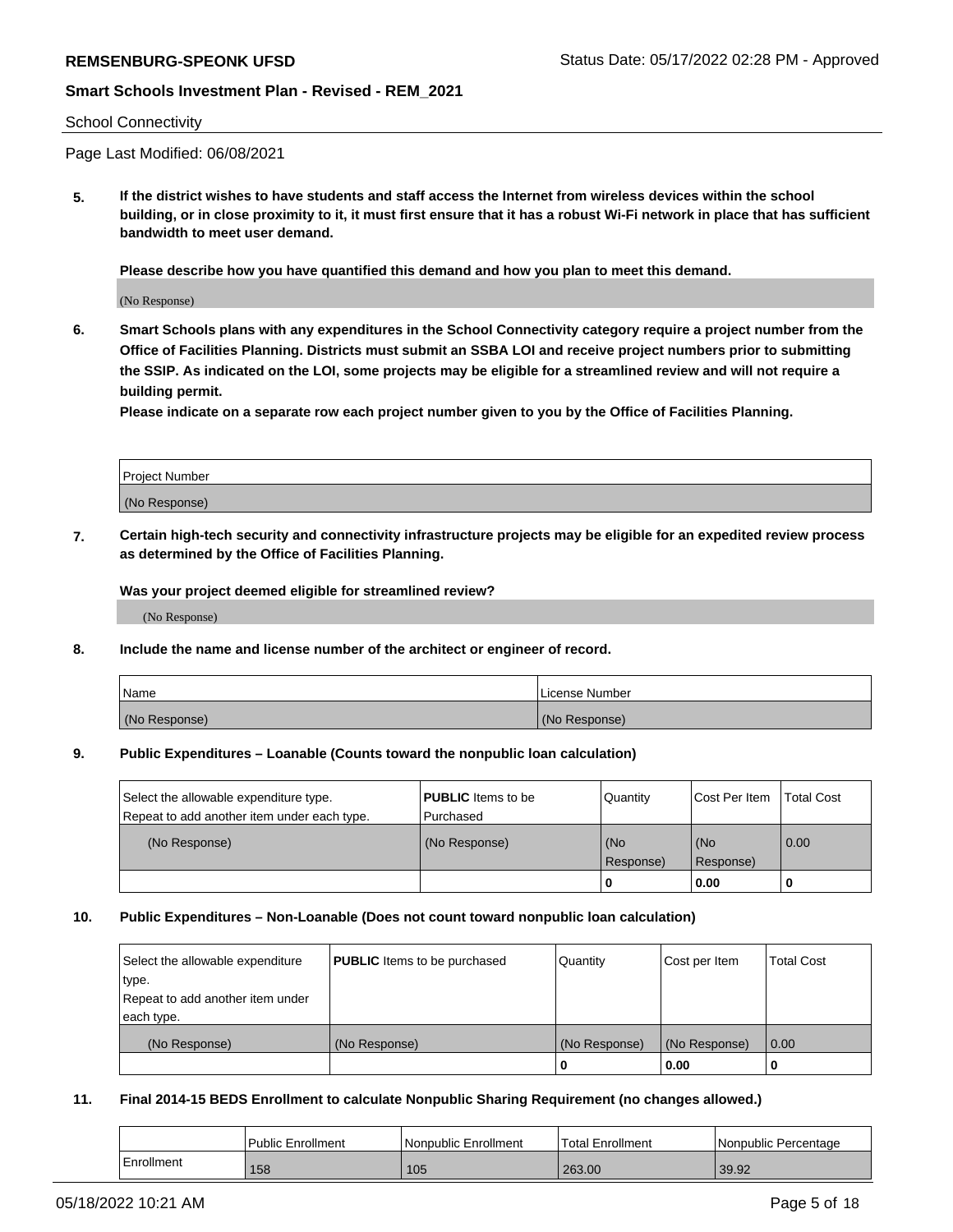#### School Connectivity

Page Last Modified: 06/08/2021

**5. If the district wishes to have students and staff access the Internet from wireless devices within the school building, or in close proximity to it, it must first ensure that it has a robust Wi-Fi network in place that has sufficient bandwidth to meet user demand.**

**Please describe how you have quantified this demand and how you plan to meet this demand.**

(No Response)

**6. Smart Schools plans with any expenditures in the School Connectivity category require a project number from the Office of Facilities Planning. Districts must submit an SSBA LOI and receive project numbers prior to submitting the SSIP. As indicated on the LOI, some projects may be eligible for a streamlined review and will not require a building permit.**

**Please indicate on a separate row each project number given to you by the Office of Facilities Planning.**

| <b>Project Number</b> |  |
|-----------------------|--|
| (No Response)         |  |

**7. Certain high-tech security and connectivity infrastructure projects may be eligible for an expedited review process as determined by the Office of Facilities Planning.**

**Was your project deemed eligible for streamlined review?**

(No Response)

#### **8. Include the name and license number of the architect or engineer of record.**

| Name          | I License Number |
|---------------|------------------|
| (No Response) | (No Response)    |

#### **9. Public Expenditures – Loanable (Counts toward the nonpublic loan calculation)**

| Select the allowable expenditure type.<br>Repeat to add another item under each type. | <b>PUBLIC</b> Items to be<br>Purchased | Quantity         | Cost Per Item    | <b>Total Cost</b> |
|---------------------------------------------------------------------------------------|----------------------------------------|------------------|------------------|-------------------|
| (No Response)                                                                         | (No Response)                          | (No<br>Response) | (No<br>Response) | 0.00              |
|                                                                                       |                                        | 0                | 0.00             |                   |

### **10. Public Expenditures – Non-Loanable (Does not count toward nonpublic loan calculation)**

| Select the allowable expenditure | <b>PUBLIC</b> Items to be purchased | Quantity      | Cost per Item | <b>Total Cost</b> |
|----------------------------------|-------------------------------------|---------------|---------------|-------------------|
| type.                            |                                     |               |               |                   |
| Repeat to add another item under |                                     |               |               |                   |
| each type.                       |                                     |               |               |                   |
| (No Response)                    | (No Response)                       | (No Response) | (No Response) | 0.00              |
|                                  |                                     | U             | 0.00          |                   |

#### **11. Final 2014-15 BEDS Enrollment to calculate Nonpublic Sharing Requirement (no changes allowed.)**

|            | Public Enrollment | Nonpublic Enrollment | <b>Total Enrollment</b> | Nonpublic Percentage |
|------------|-------------------|----------------------|-------------------------|----------------------|
| Enrollment | 158               | 105                  | 263.00                  | 39.92                |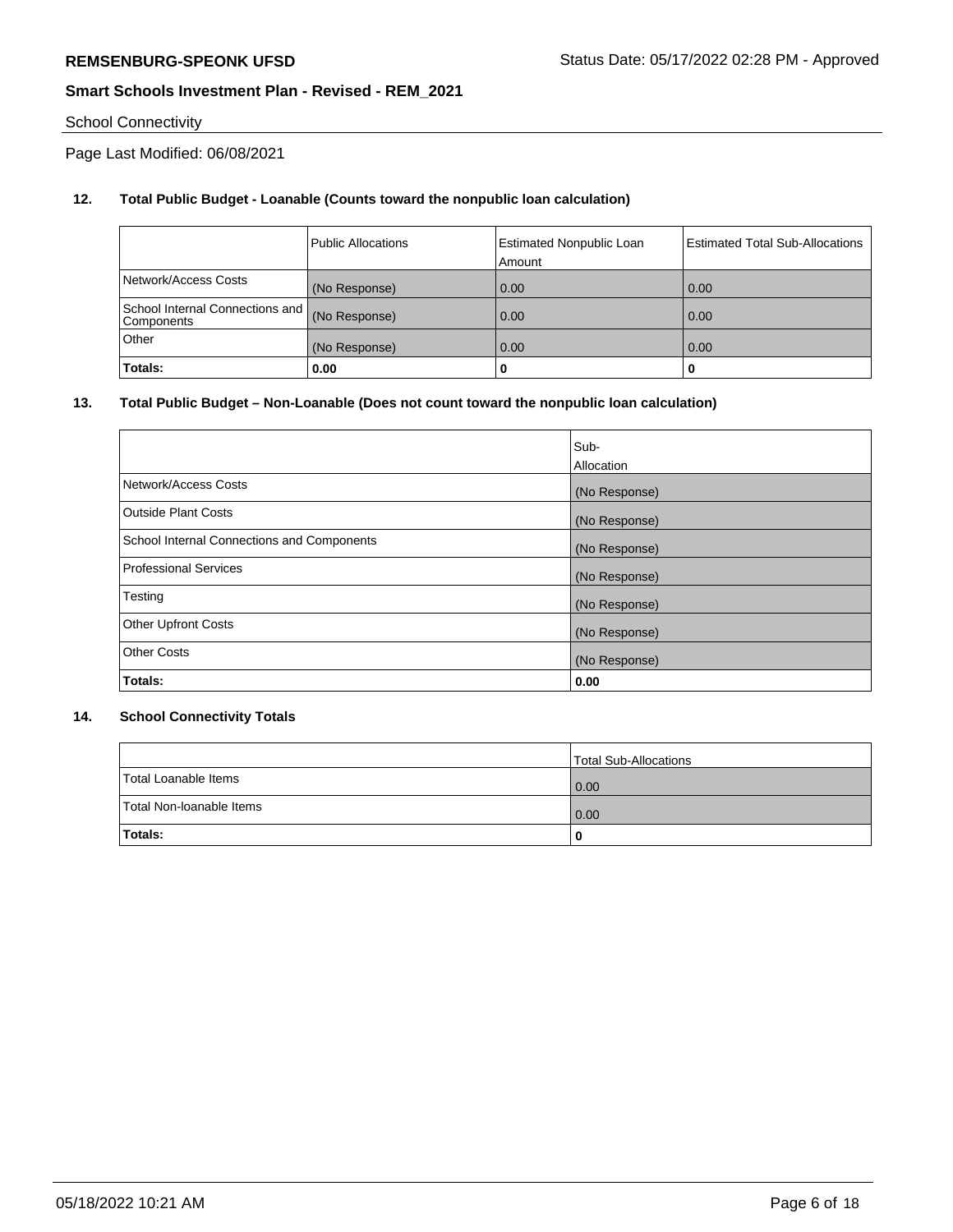# School Connectivity

Page Last Modified: 06/08/2021

## **12. Total Public Budget - Loanable (Counts toward the nonpublic loan calculation)**

|                                               | <b>Public Allocations</b> | <b>Estimated Nonpublic Loan</b><br>Amount | <b>Estimated Total Sub-Allocations</b> |
|-----------------------------------------------|---------------------------|-------------------------------------------|----------------------------------------|
| Network/Access Costs                          | (No Response)             | 0.00                                      | 0.00                                   |
| School Internal Connections and<br>Components | (No Response)             | 0.00                                      | 0.00                                   |
| Other                                         | (No Response)             | 0.00                                      | 0.00                                   |
| Totals:                                       | 0.00                      |                                           | 0                                      |

### **13. Total Public Budget – Non-Loanable (Does not count toward the nonpublic loan calculation)**

|                                            | Sub-          |
|--------------------------------------------|---------------|
|                                            | Allocation    |
| Network/Access Costs                       | (No Response) |
| <b>Outside Plant Costs</b>                 | (No Response) |
| School Internal Connections and Components | (No Response) |
| Professional Services                      | (No Response) |
| Testing                                    | (No Response) |
| <b>Other Upfront Costs</b>                 | (No Response) |
| <b>Other Costs</b>                         | (No Response) |
| Totals:                                    | 0.00          |

### **14. School Connectivity Totals**

|                          | Total Sub-Allocations |
|--------------------------|-----------------------|
| Total Loanable Items     | $\overline{0.00}$     |
| Total Non-Ioanable Items | 0.00                  |
| Totals:                  | 0                     |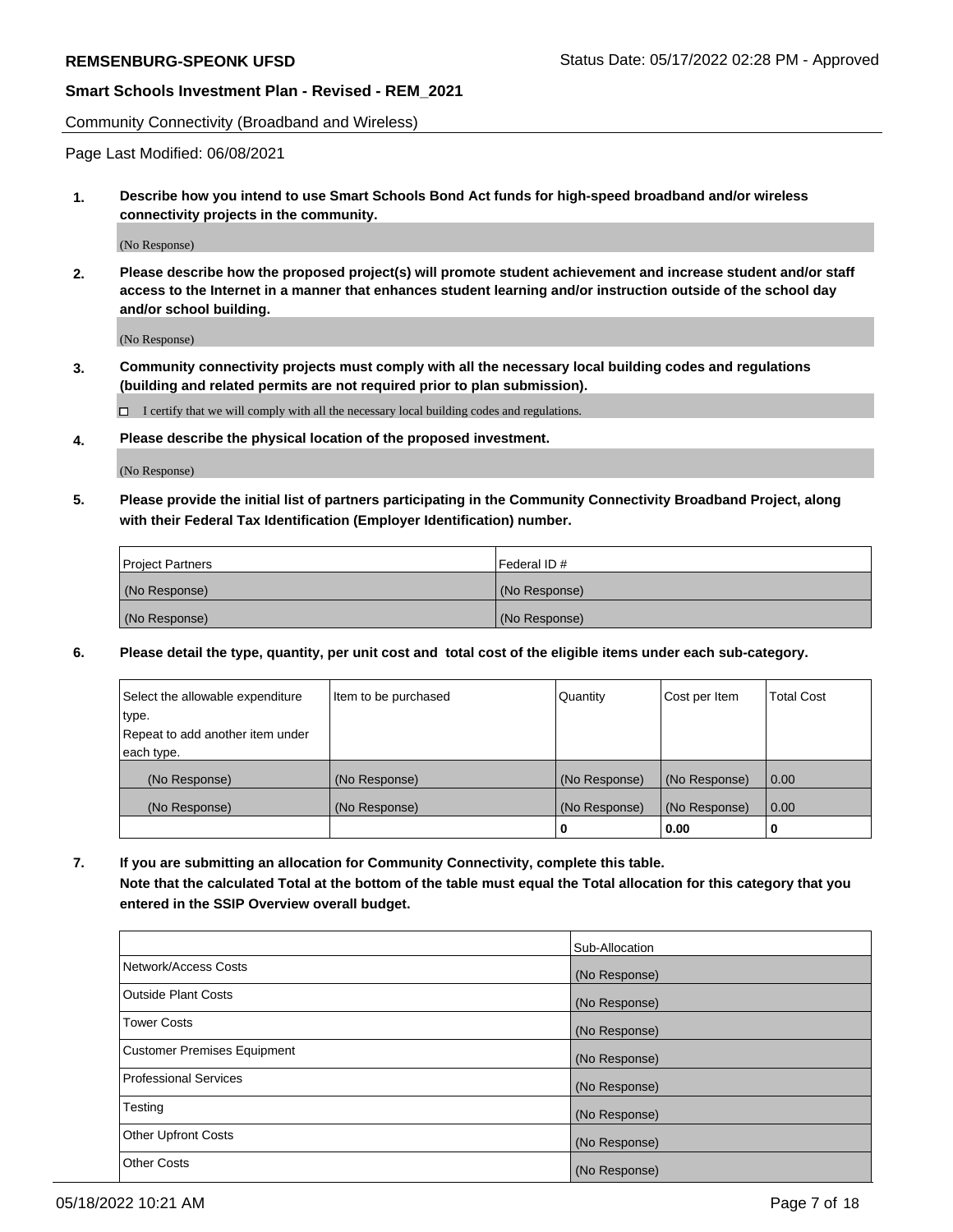Community Connectivity (Broadband and Wireless)

Page Last Modified: 06/08/2021

**1. Describe how you intend to use Smart Schools Bond Act funds for high-speed broadband and/or wireless connectivity projects in the community.**

(No Response)

**2. Please describe how the proposed project(s) will promote student achievement and increase student and/or staff access to the Internet in a manner that enhances student learning and/or instruction outside of the school day and/or school building.**

(No Response)

**3. Community connectivity projects must comply with all the necessary local building codes and regulations (building and related permits are not required prior to plan submission).**

 $\Box$  I certify that we will comply with all the necessary local building codes and regulations.

**4. Please describe the physical location of the proposed investment.**

(No Response)

**5. Please provide the initial list of partners participating in the Community Connectivity Broadband Project, along with their Federal Tax Identification (Employer Identification) number.**

| <b>Project Partners</b> | l Federal ID # |
|-------------------------|----------------|
| (No Response)           | (No Response)  |
| (No Response)           | (No Response)  |

**6. Please detail the type, quantity, per unit cost and total cost of the eligible items under each sub-category.**

| Select the allowable expenditure | Item to be purchased | Quantity      | Cost per Item | <b>Total Cost</b> |
|----------------------------------|----------------------|---------------|---------------|-------------------|
| type.                            |                      |               |               |                   |
| Repeat to add another item under |                      |               |               |                   |
| each type.                       |                      |               |               |                   |
| (No Response)                    | (No Response)        | (No Response) | (No Response) | 0.00              |
| (No Response)                    | (No Response)        | (No Response) | (No Response) | 0.00              |
|                                  |                      | 0             | 0.00          |                   |

**7. If you are submitting an allocation for Community Connectivity, complete this table.**

**Note that the calculated Total at the bottom of the table must equal the Total allocation for this category that you entered in the SSIP Overview overall budget.**

|                                    | Sub-Allocation |
|------------------------------------|----------------|
| Network/Access Costs               | (No Response)  |
| Outside Plant Costs                | (No Response)  |
| <b>Tower Costs</b>                 | (No Response)  |
| <b>Customer Premises Equipment</b> | (No Response)  |
| Professional Services              | (No Response)  |
| Testing                            | (No Response)  |
| <b>Other Upfront Costs</b>         | (No Response)  |
| <b>Other Costs</b>                 | (No Response)  |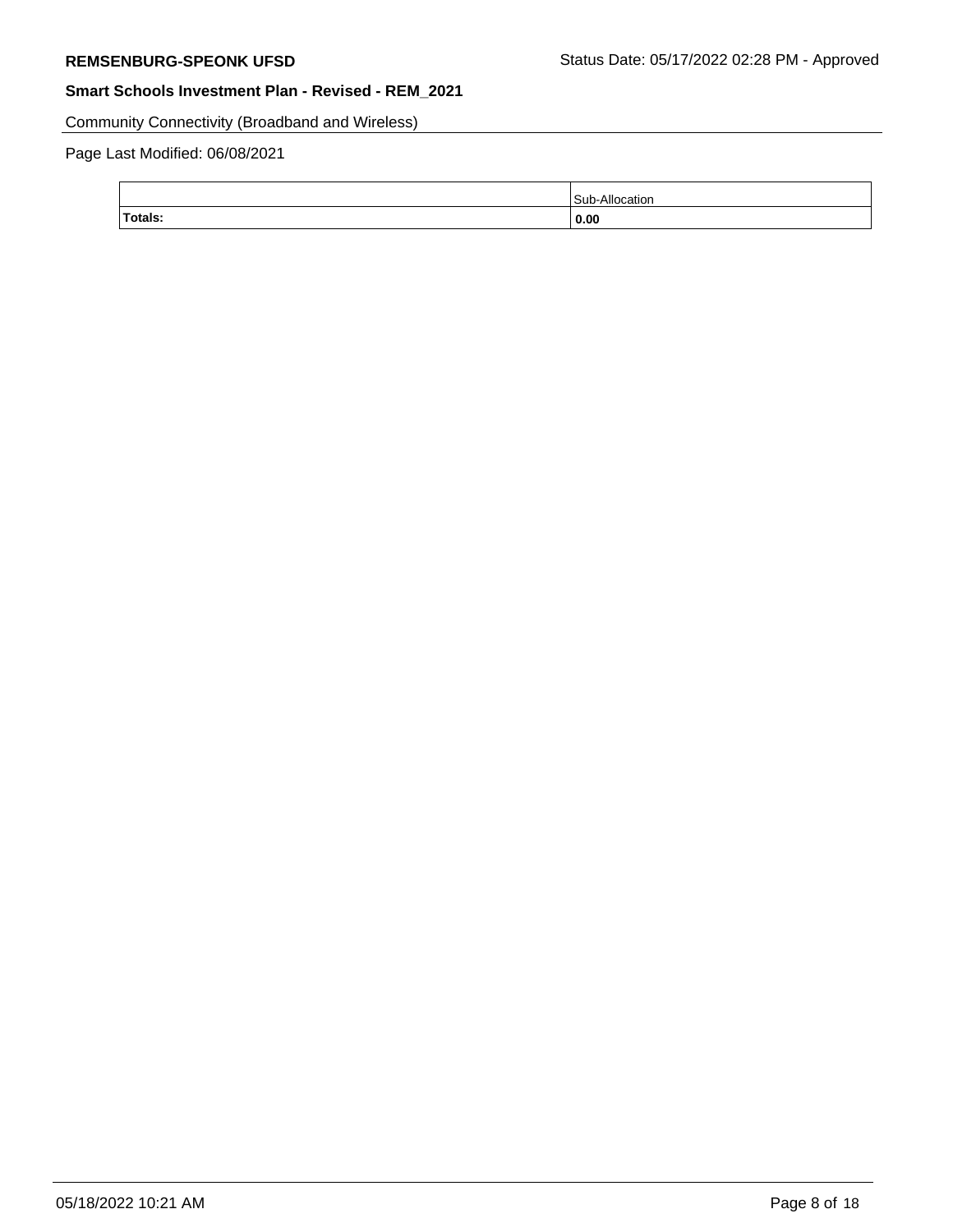Community Connectivity (Broadband and Wireless)

# Page Last Modified: 06/08/2021

| Totals: | 0.00      |
|---------|-----------|
|         | .<br>аног |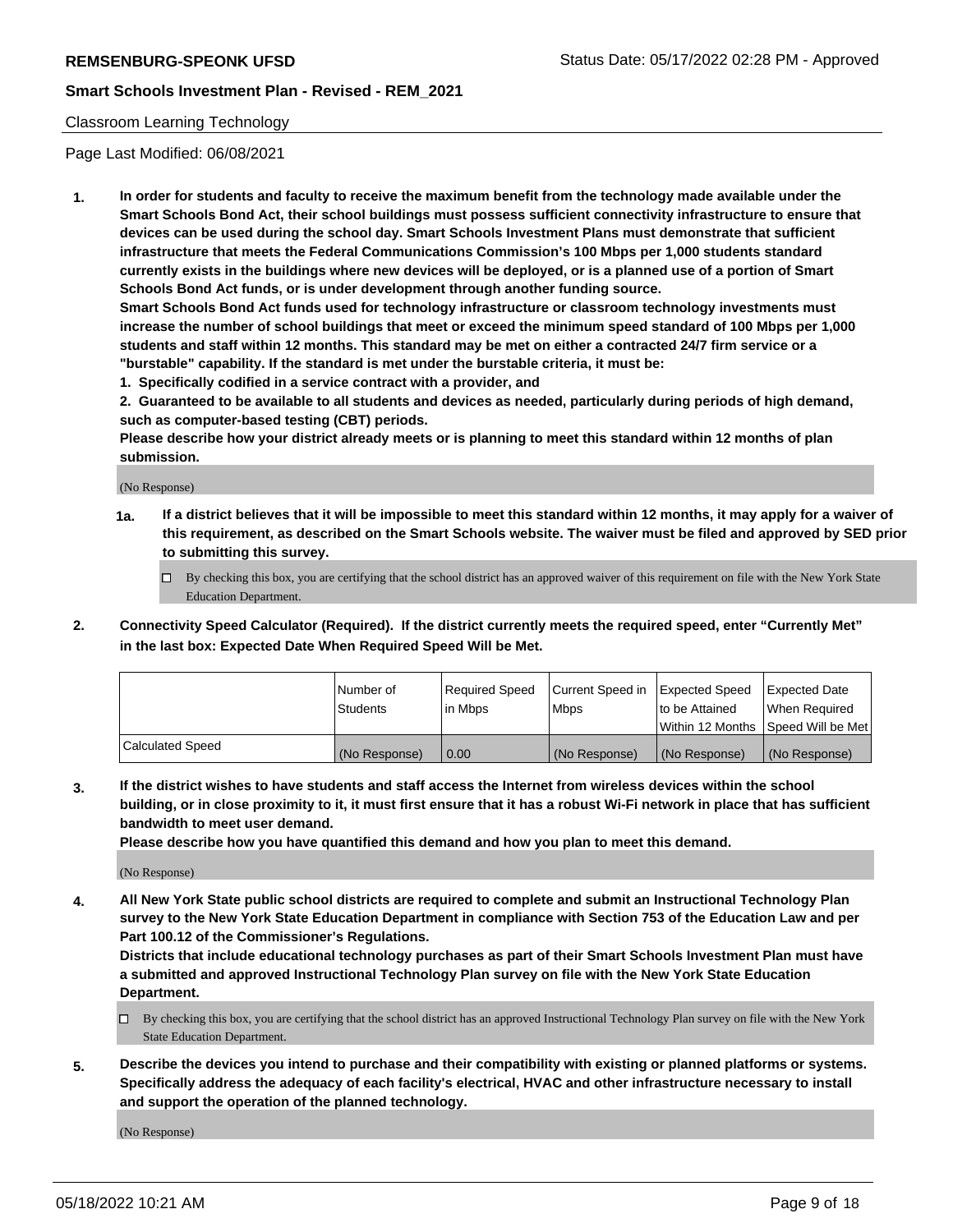#### Classroom Learning Technology

Page Last Modified: 06/08/2021

**1. In order for students and faculty to receive the maximum benefit from the technology made available under the Smart Schools Bond Act, their school buildings must possess sufficient connectivity infrastructure to ensure that devices can be used during the school day. Smart Schools Investment Plans must demonstrate that sufficient infrastructure that meets the Federal Communications Commission's 100 Mbps per 1,000 students standard currently exists in the buildings where new devices will be deployed, or is a planned use of a portion of Smart Schools Bond Act funds, or is under development through another funding source.**

**Smart Schools Bond Act funds used for technology infrastructure or classroom technology investments must increase the number of school buildings that meet or exceed the minimum speed standard of 100 Mbps per 1,000 students and staff within 12 months. This standard may be met on either a contracted 24/7 firm service or a "burstable" capability. If the standard is met under the burstable criteria, it must be:**

**1. Specifically codified in a service contract with a provider, and**

**2. Guaranteed to be available to all students and devices as needed, particularly during periods of high demand, such as computer-based testing (CBT) periods.**

**Please describe how your district already meets or is planning to meet this standard within 12 months of plan submission.**

(No Response)

- **1a. If a district believes that it will be impossible to meet this standard within 12 months, it may apply for a waiver of this requirement, as described on the Smart Schools website. The waiver must be filed and approved by SED prior to submitting this survey.**
	- By checking this box, you are certifying that the school district has an approved waiver of this requirement on file with the New York State Education Department.
- **2. Connectivity Speed Calculator (Required). If the district currently meets the required speed, enter "Currently Met" in the last box: Expected Date When Required Speed Will be Met.**

|                  | Number of     | Required Speed | Current Speed in | Expected Speed | Expected Date                           |
|------------------|---------------|----------------|------------------|----------------|-----------------------------------------|
|                  | Students      | lin Mbps       | <b>Mbps</b>      | to be Attained | When Required                           |
|                  |               |                |                  |                | l Within 12 Months ISpeed Will be Met l |
| Calculated Speed | (No Response) | 0.00           | (No Response)    | (No Response)  | (No Response)                           |

**3. If the district wishes to have students and staff access the Internet from wireless devices within the school building, or in close proximity to it, it must first ensure that it has a robust Wi-Fi network in place that has sufficient bandwidth to meet user demand.**

**Please describe how you have quantified this demand and how you plan to meet this demand.**

(No Response)

**4. All New York State public school districts are required to complete and submit an Instructional Technology Plan survey to the New York State Education Department in compliance with Section 753 of the Education Law and per Part 100.12 of the Commissioner's Regulations.**

**Districts that include educational technology purchases as part of their Smart Schools Investment Plan must have a submitted and approved Instructional Technology Plan survey on file with the New York State Education Department.**

- By checking this box, you are certifying that the school district has an approved Instructional Technology Plan survey on file with the New York State Education Department.
- **5. Describe the devices you intend to purchase and their compatibility with existing or planned platforms or systems. Specifically address the adequacy of each facility's electrical, HVAC and other infrastructure necessary to install and support the operation of the planned technology.**

(No Response)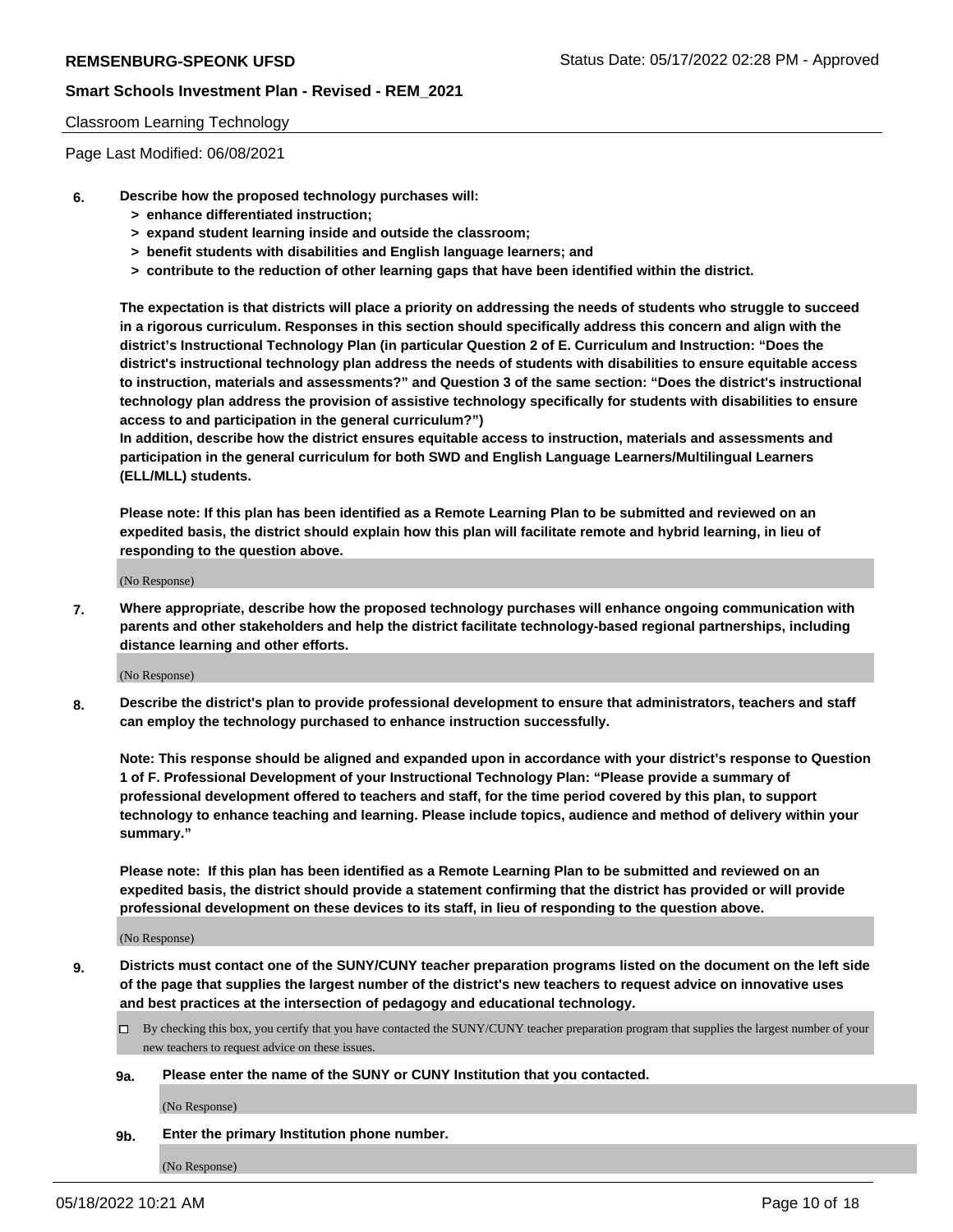#### Classroom Learning Technology

Page Last Modified: 06/08/2021

- **6. Describe how the proposed technology purchases will:**
	- **> enhance differentiated instruction;**
	- **> expand student learning inside and outside the classroom;**
	- **> benefit students with disabilities and English language learners; and**
	- **> contribute to the reduction of other learning gaps that have been identified within the district.**

**The expectation is that districts will place a priority on addressing the needs of students who struggle to succeed in a rigorous curriculum. Responses in this section should specifically address this concern and align with the district's Instructional Technology Plan (in particular Question 2 of E. Curriculum and Instruction: "Does the district's instructional technology plan address the needs of students with disabilities to ensure equitable access to instruction, materials and assessments?" and Question 3 of the same section: "Does the district's instructional technology plan address the provision of assistive technology specifically for students with disabilities to ensure access to and participation in the general curriculum?")**

**In addition, describe how the district ensures equitable access to instruction, materials and assessments and participation in the general curriculum for both SWD and English Language Learners/Multilingual Learners (ELL/MLL) students.**

**Please note: If this plan has been identified as a Remote Learning Plan to be submitted and reviewed on an expedited basis, the district should explain how this plan will facilitate remote and hybrid learning, in lieu of responding to the question above.**

(No Response)

**7. Where appropriate, describe how the proposed technology purchases will enhance ongoing communication with parents and other stakeholders and help the district facilitate technology-based regional partnerships, including distance learning and other efforts.**

(No Response)

**8. Describe the district's plan to provide professional development to ensure that administrators, teachers and staff can employ the technology purchased to enhance instruction successfully.**

**Note: This response should be aligned and expanded upon in accordance with your district's response to Question 1 of F. Professional Development of your Instructional Technology Plan: "Please provide a summary of professional development offered to teachers and staff, for the time period covered by this plan, to support technology to enhance teaching and learning. Please include topics, audience and method of delivery within your summary."**

**Please note: If this plan has been identified as a Remote Learning Plan to be submitted and reviewed on an expedited basis, the district should provide a statement confirming that the district has provided or will provide professional development on these devices to its staff, in lieu of responding to the question above.**

(No Response)

**9. Districts must contact one of the SUNY/CUNY teacher preparation programs listed on the document on the left side of the page that supplies the largest number of the district's new teachers to request advice on innovative uses and best practices at the intersection of pedagogy and educational technology.**

- By checking this box, you certify that you have contacted the SUNY/CUNY teacher preparation program that supplies the largest number of your new teachers to request advice on these issues.
- **9a. Please enter the name of the SUNY or CUNY Institution that you contacted.**

(No Response)

**9b. Enter the primary Institution phone number.**

(No Response)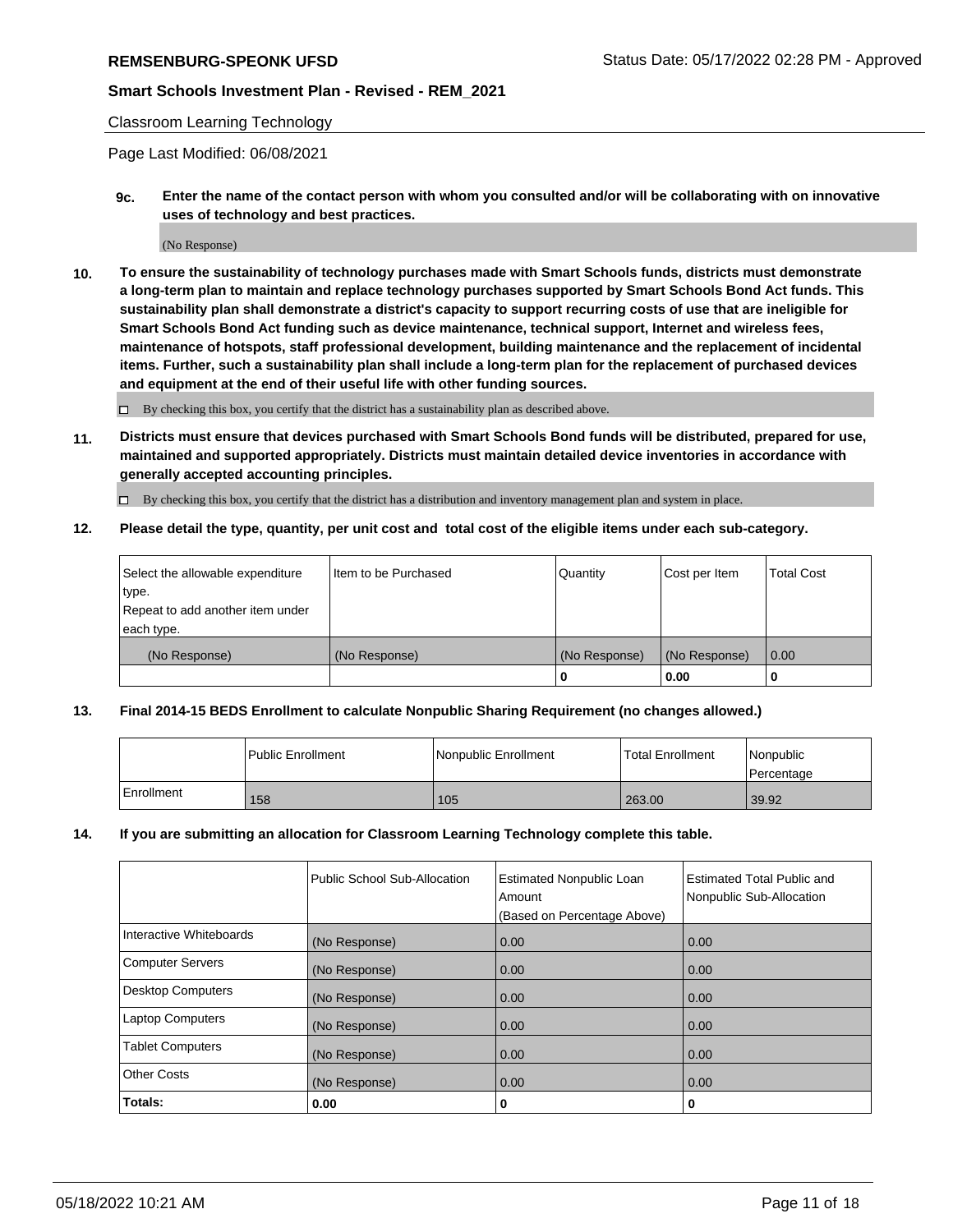#### Classroom Learning Technology

Page Last Modified: 06/08/2021

**9c. Enter the name of the contact person with whom you consulted and/or will be collaborating with on innovative uses of technology and best practices.**

(No Response)

**10. To ensure the sustainability of technology purchases made with Smart Schools funds, districts must demonstrate a long-term plan to maintain and replace technology purchases supported by Smart Schools Bond Act funds. This sustainability plan shall demonstrate a district's capacity to support recurring costs of use that are ineligible for Smart Schools Bond Act funding such as device maintenance, technical support, Internet and wireless fees, maintenance of hotspots, staff professional development, building maintenance and the replacement of incidental items. Further, such a sustainability plan shall include a long-term plan for the replacement of purchased devices and equipment at the end of their useful life with other funding sources.**

 $\square$  By checking this box, you certify that the district has a sustainability plan as described above.

**11. Districts must ensure that devices purchased with Smart Schools Bond funds will be distributed, prepared for use, maintained and supported appropriately. Districts must maintain detailed device inventories in accordance with generally accepted accounting principles.**

By checking this box, you certify that the district has a distribution and inventory management plan and system in place.

**12. Please detail the type, quantity, per unit cost and total cost of the eligible items under each sub-category.**

| Select the allowable expenditure | I Item to be Purchased | Quantity      | Cost per Item | Total Cost |
|----------------------------------|------------------------|---------------|---------------|------------|
| type.                            |                        |               |               |            |
| Repeat to add another item under |                        |               |               |            |
| each type.                       |                        |               |               |            |
| (No Response)                    | (No Response)          | (No Response) | (No Response) | 0.00       |
|                                  |                        | u             | 0.00          |            |

#### **13. Final 2014-15 BEDS Enrollment to calculate Nonpublic Sharing Requirement (no changes allowed.)**

|              | l Public Enrollment | Nonpublic Enrollment | <b>Total Enrollment</b> | Nonpublic<br>l Percentage |
|--------------|---------------------|----------------------|-------------------------|---------------------------|
| l Enrollment | 158                 | 105                  | 263.00                  | 39.92                     |

#### **14. If you are submitting an allocation for Classroom Learning Technology complete this table.**

|                          | Public School Sub-Allocation | <b>Estimated Nonpublic Loan</b><br>Amount | <b>Estimated Total Public and</b><br>Nonpublic Sub-Allocation |
|--------------------------|------------------------------|-------------------------------------------|---------------------------------------------------------------|
|                          |                              | (Based on Percentage Above)               |                                                               |
| Interactive Whiteboards  | (No Response)                | 0.00                                      | 0.00                                                          |
| <b>Computer Servers</b>  | (No Response)                | 0.00                                      | 0.00                                                          |
| <b>Desktop Computers</b> | (No Response)                | 0.00                                      | 0.00                                                          |
| <b>Laptop Computers</b>  | (No Response)                | 0.00                                      | 0.00                                                          |
| <b>Tablet Computers</b>  | (No Response)                | 0.00                                      | 0.00                                                          |
| Other Costs              | (No Response)                | 0.00                                      | 0.00                                                          |
| Totals:                  | 0.00                         | 0                                         | 0                                                             |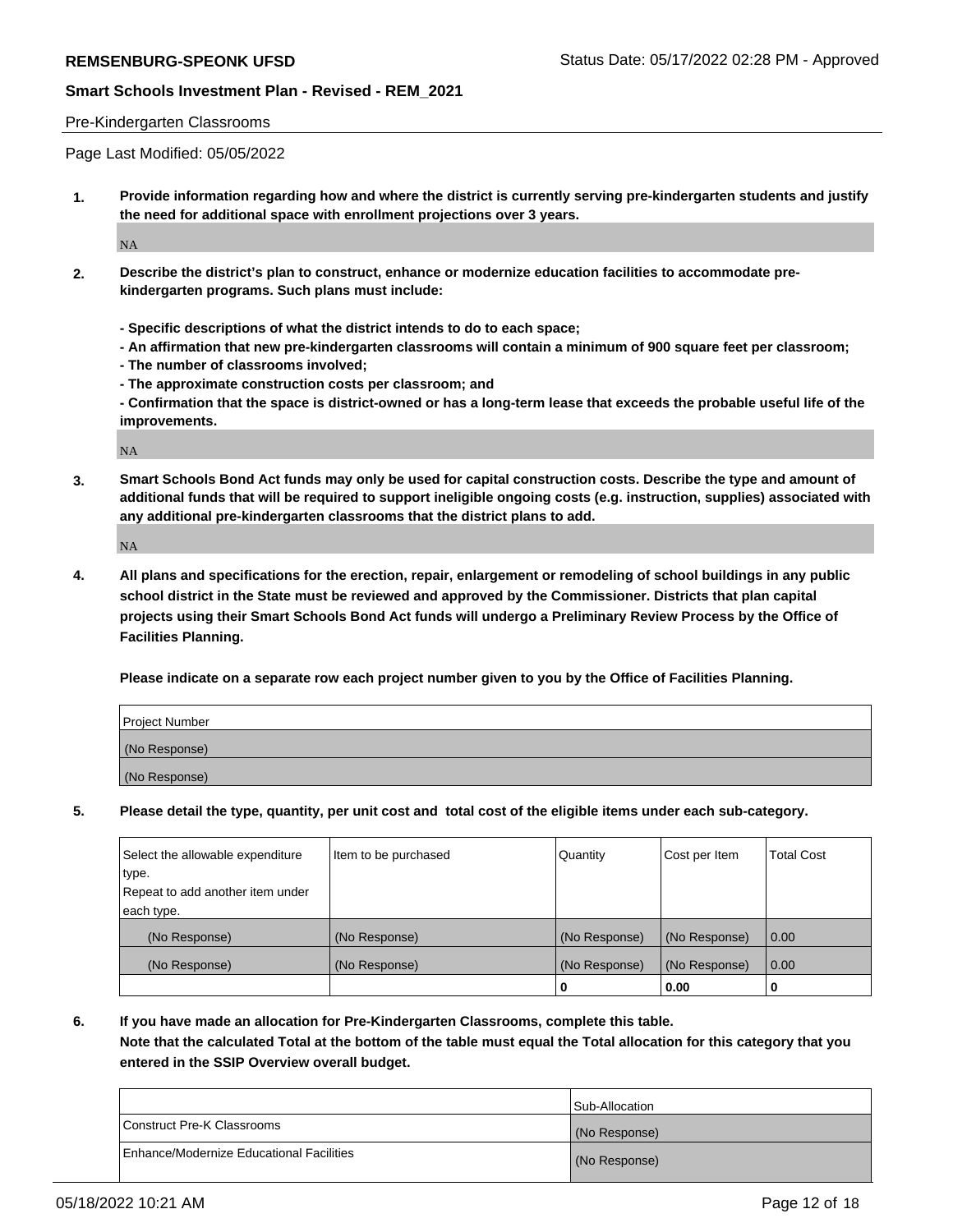#### Pre-Kindergarten Classrooms

Page Last Modified: 05/05/2022

**1. Provide information regarding how and where the district is currently serving pre-kindergarten students and justify the need for additional space with enrollment projections over 3 years.**

NA

- **2. Describe the district's plan to construct, enhance or modernize education facilities to accommodate prekindergarten programs. Such plans must include:**
	- **Specific descriptions of what the district intends to do to each space;**
	- **An affirmation that new pre-kindergarten classrooms will contain a minimum of 900 square feet per classroom;**
	- **The number of classrooms involved;**
	- **The approximate construction costs per classroom; and**
	- **Confirmation that the space is district-owned or has a long-term lease that exceeds the probable useful life of the improvements.**

NA

**3. Smart Schools Bond Act funds may only be used for capital construction costs. Describe the type and amount of additional funds that will be required to support ineligible ongoing costs (e.g. instruction, supplies) associated with any additional pre-kindergarten classrooms that the district plans to add.**

NA

**4. All plans and specifications for the erection, repair, enlargement or remodeling of school buildings in any public school district in the State must be reviewed and approved by the Commissioner. Districts that plan capital projects using their Smart Schools Bond Act funds will undergo a Preliminary Review Process by the Office of Facilities Planning.**

**Please indicate on a separate row each project number given to you by the Office of Facilities Planning.**

| Project Number |  |
|----------------|--|
| (No Response)  |  |
| (No Response)  |  |

**5. Please detail the type, quantity, per unit cost and total cost of the eligible items under each sub-category.**

| Select the allowable expenditure | Item to be purchased | Quantity      | Cost per Item | Total Cost |
|----------------------------------|----------------------|---------------|---------------|------------|
| type.                            |                      |               |               |            |
| Repeat to add another item under |                      |               |               |            |
| each type.                       |                      |               |               |            |
| (No Response)                    | (No Response)        | (No Response) | (No Response) | 0.00       |
| (No Response)                    | (No Response)        | (No Response) | (No Response) | 0.00       |
|                                  |                      | 0             | 0.00          | 0          |

**6. If you have made an allocation for Pre-Kindergarten Classrooms, complete this table.**

**Note that the calculated Total at the bottom of the table must equal the Total allocation for this category that you entered in the SSIP Overview overall budget.**

|                                          | <b>Sub-Allocation</b> |
|------------------------------------------|-----------------------|
| Construct Pre-K Classrooms               | (No Response)         |
| Enhance/Modernize Educational Facilities | (No Response)         |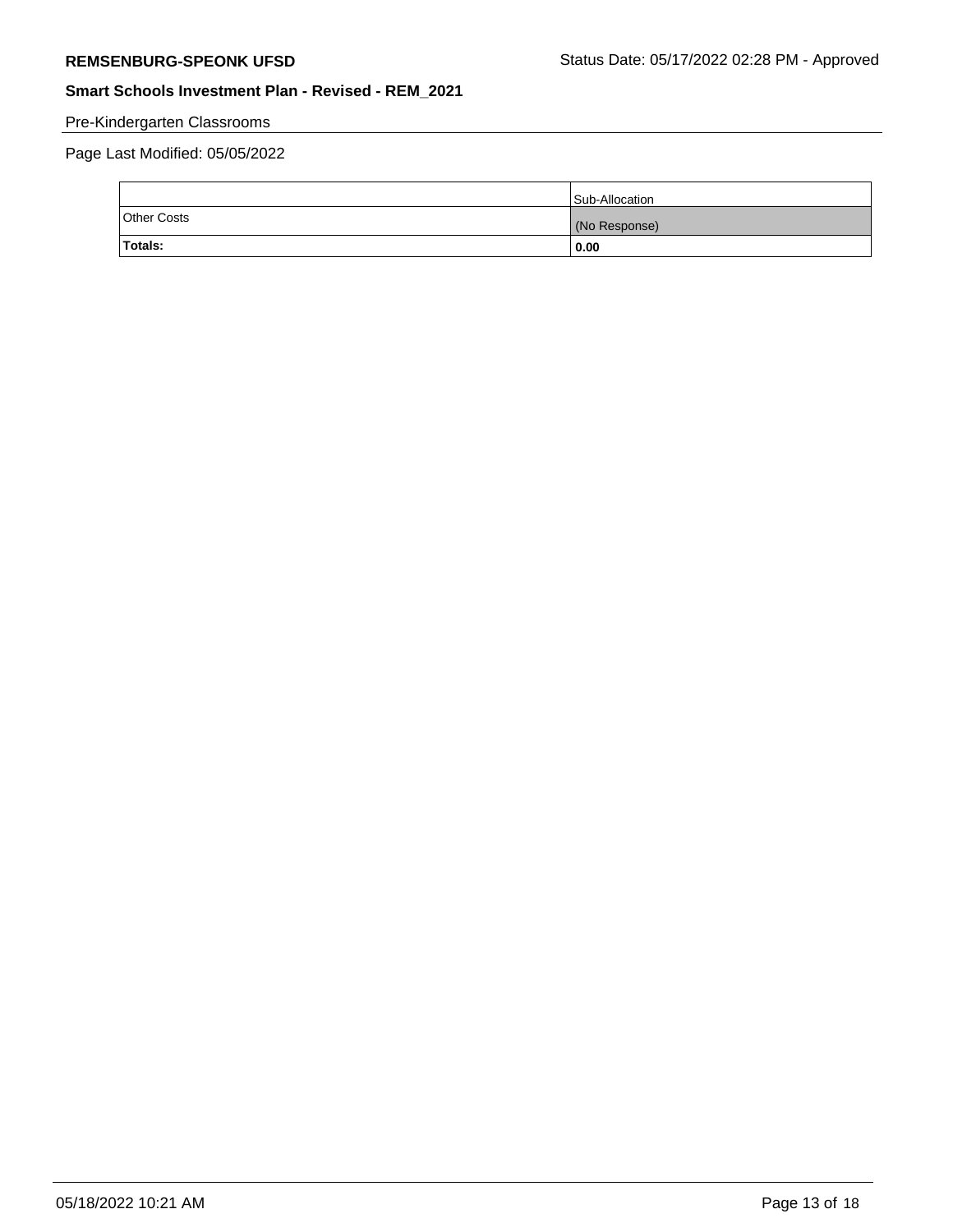# Pre-Kindergarten Classrooms

Page Last Modified: 05/05/2022

|                    | Sub-Allocation |
|--------------------|----------------|
| <b>Other Costs</b> | (No Response)  |
| Totals:            | 0.00           |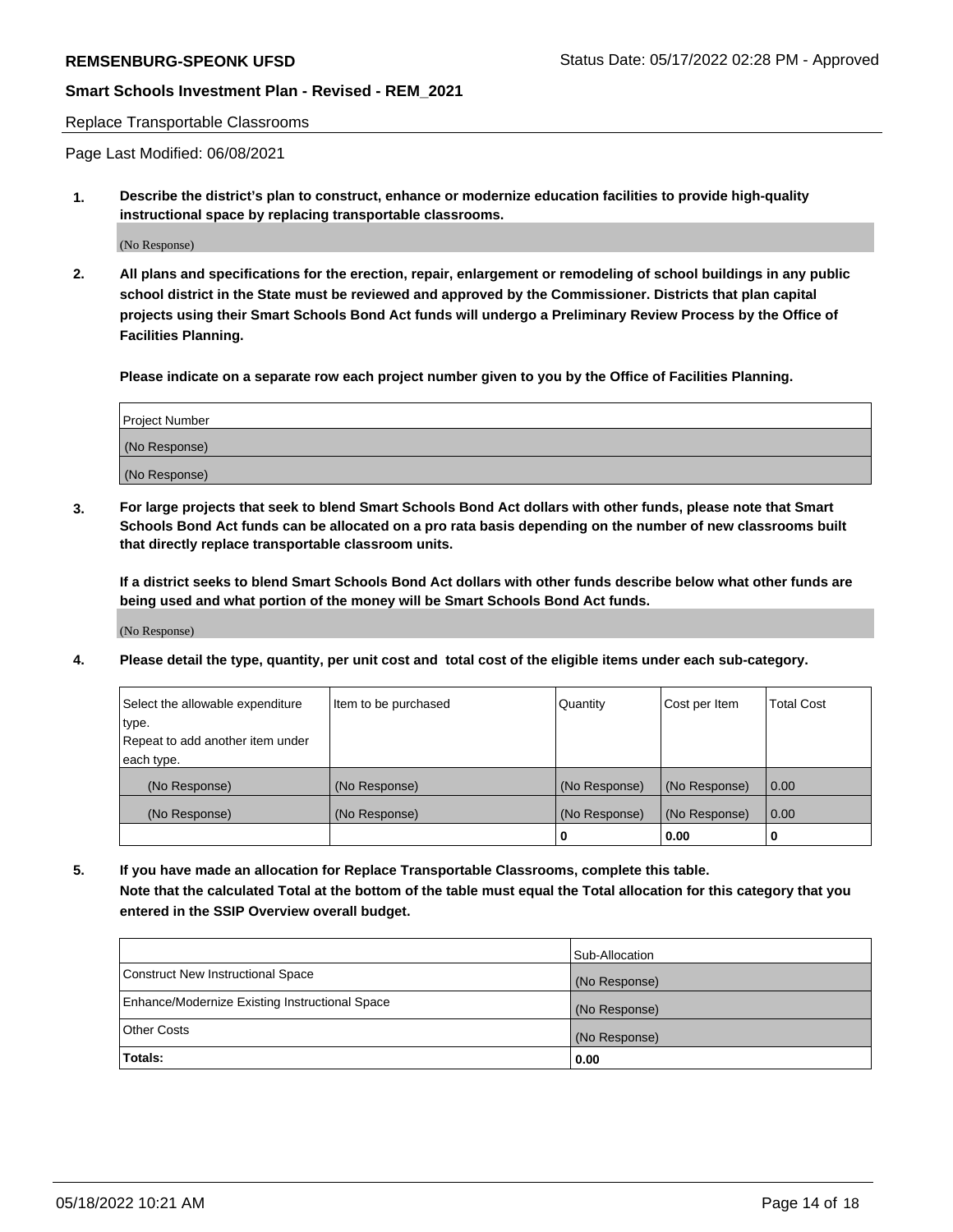#### Replace Transportable Classrooms

Page Last Modified: 06/08/2021

**1. Describe the district's plan to construct, enhance or modernize education facilities to provide high-quality instructional space by replacing transportable classrooms.**

(No Response)

**2. All plans and specifications for the erection, repair, enlargement or remodeling of school buildings in any public school district in the State must be reviewed and approved by the Commissioner. Districts that plan capital projects using their Smart Schools Bond Act funds will undergo a Preliminary Review Process by the Office of Facilities Planning.**

**Please indicate on a separate row each project number given to you by the Office of Facilities Planning.**

| <b>Project Number</b> |  |
|-----------------------|--|
| (No Response)         |  |
| (No Response)         |  |

**3. For large projects that seek to blend Smart Schools Bond Act dollars with other funds, please note that Smart Schools Bond Act funds can be allocated on a pro rata basis depending on the number of new classrooms built that directly replace transportable classroom units.**

**If a district seeks to blend Smart Schools Bond Act dollars with other funds describe below what other funds are being used and what portion of the money will be Smart Schools Bond Act funds.**

(No Response)

**4. Please detail the type, quantity, per unit cost and total cost of the eligible items under each sub-category.**

| Select the allowable expenditure<br>Item to be purchased |               | Quantity      | Cost per Item | <b>Total Cost</b> |
|----------------------------------------------------------|---------------|---------------|---------------|-------------------|
| type.                                                    |               |               |               |                   |
| Repeat to add another item under                         |               |               |               |                   |
| each type.                                               |               |               |               |                   |
| (No Response)                                            | (No Response) | (No Response) | (No Response) | 0.00              |
| (No Response)                                            | (No Response) | (No Response) | (No Response) | 0.00              |
|                                                          |               | 0             | 0.00          |                   |

**5. If you have made an allocation for Replace Transportable Classrooms, complete this table. Note that the calculated Total at the bottom of the table must equal the Total allocation for this category that you entered in the SSIP Overview overall budget.**

|                                                | Sub-Allocation |
|------------------------------------------------|----------------|
| Construct New Instructional Space              | (No Response)  |
| Enhance/Modernize Existing Instructional Space | (No Response)  |
| <b>Other Costs</b>                             | (No Response)  |
| Totals:                                        | 0.00           |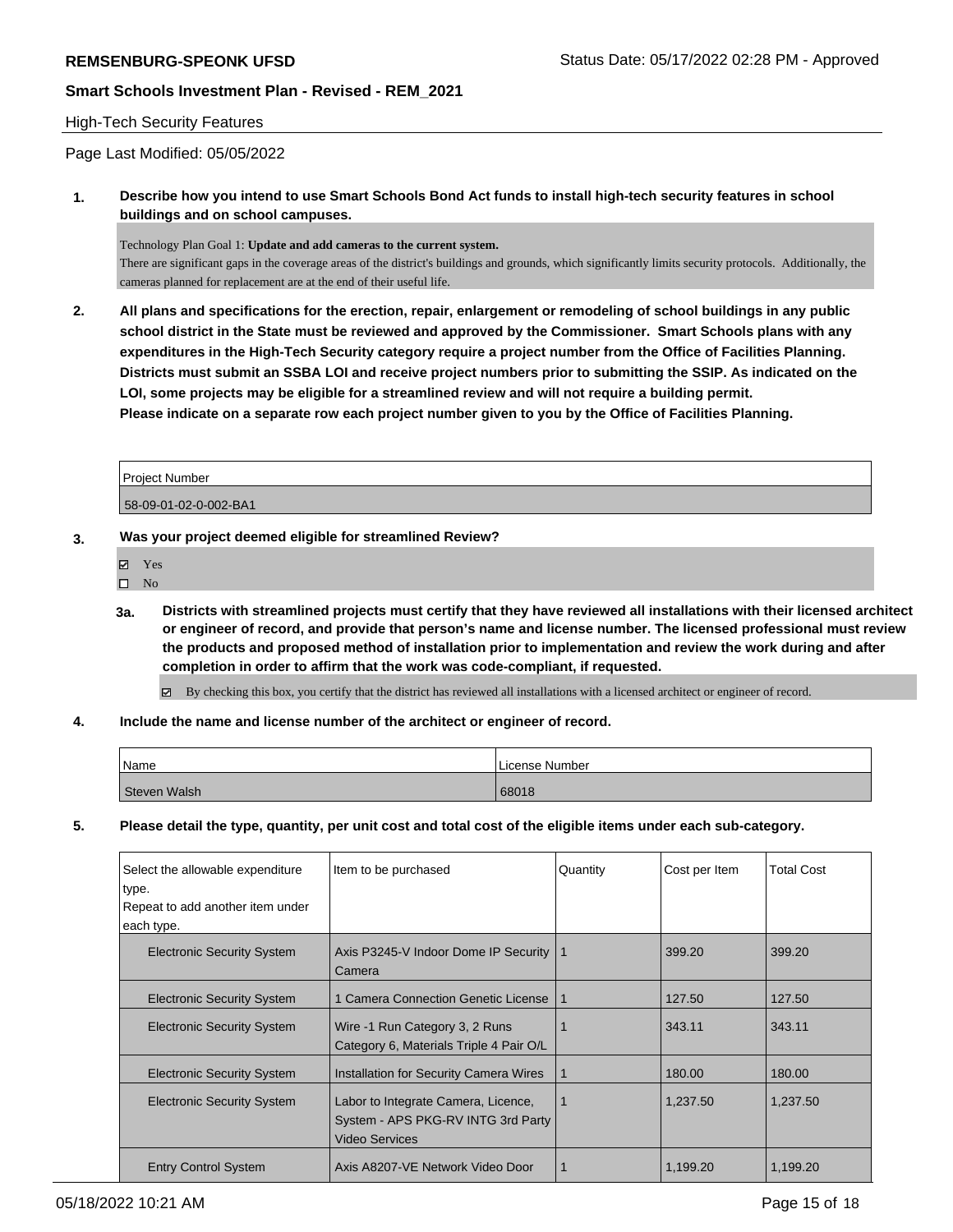# High-Tech Security Features

Page Last Modified: 05/05/2022

**1. Describe how you intend to use Smart Schools Bond Act funds to install high-tech security features in school buildings and on school campuses.**

Technology Plan Goal 1: **Update and add cameras to the current system.**

There are significant gaps in the coverage areas of the district's buildings and grounds, which significantly limits security protocols. Additionally, the cameras planned for replacement are at the end of their useful life.

**2. All plans and specifications for the erection, repair, enlargement or remodeling of school buildings in any public school district in the State must be reviewed and approved by the Commissioner. Smart Schools plans with any expenditures in the High-Tech Security category require a project number from the Office of Facilities Planning. Districts must submit an SSBA LOI and receive project numbers prior to submitting the SSIP. As indicated on the LOI, some projects may be eligible for a streamlined review and will not require a building permit. Please indicate on a separate row each project number given to you by the Office of Facilities Planning.**

| Project Number        |  |
|-----------------------|--|
| 58-09-01-02-0-002-BA1 |  |

- **3. Was your project deemed eligible for streamlined Review?**
	- Yes
	- $\hfill \square$  No
	- **3a. Districts with streamlined projects must certify that they have reviewed all installations with their licensed architect or engineer of record, and provide that person's name and license number. The licensed professional must review the products and proposed method of installation prior to implementation and review the work during and after completion in order to affirm that the work was code-compliant, if requested.**

By checking this box, you certify that the district has reviewed all installations with a licensed architect or engineer of record.

**4. Include the name and license number of the architect or engineer of record.**

| Name         | l License Number |
|--------------|------------------|
| Steven Walsh | 68018            |

**5. Please detail the type, quantity, per unit cost and total cost of the eligible items under each sub-category.**

| Select the allowable expenditure<br>type.<br>Repeat to add another item under<br>each type. | Item to be purchased                                                                               | Quantity | Cost per Item | <b>Total Cost</b> |
|---------------------------------------------------------------------------------------------|----------------------------------------------------------------------------------------------------|----------|---------------|-------------------|
| <b>Electronic Security System</b>                                                           | Axis P3245-V Indoor Dome IP Security<br>Camera                                                     | -1       | 399.20        | 399.20            |
| <b>Electronic Security System</b>                                                           | 1 Camera Connection Genetic License                                                                | -1       | 127.50        | 127.50            |
| <b>Electronic Security System</b>                                                           | Wire -1 Run Category 3, 2 Runs<br>Category 6, Materials Triple 4 Pair O/L                          |          | 343.11        | 343.11            |
| <b>Electronic Security System</b>                                                           | <b>Installation for Security Camera Wires</b>                                                      |          | 180.00        | 180.00            |
| <b>Electronic Security System</b>                                                           | Labor to Integrate Camera, Licence,<br>System - APS PKG-RV INTG 3rd Party<br><b>Video Services</b> |          | 1,237.50      | 1,237.50          |
| <b>Entry Control System</b>                                                                 | Axis A8207-VE Network Video Door                                                                   |          | 1.199.20      | 1.199.20          |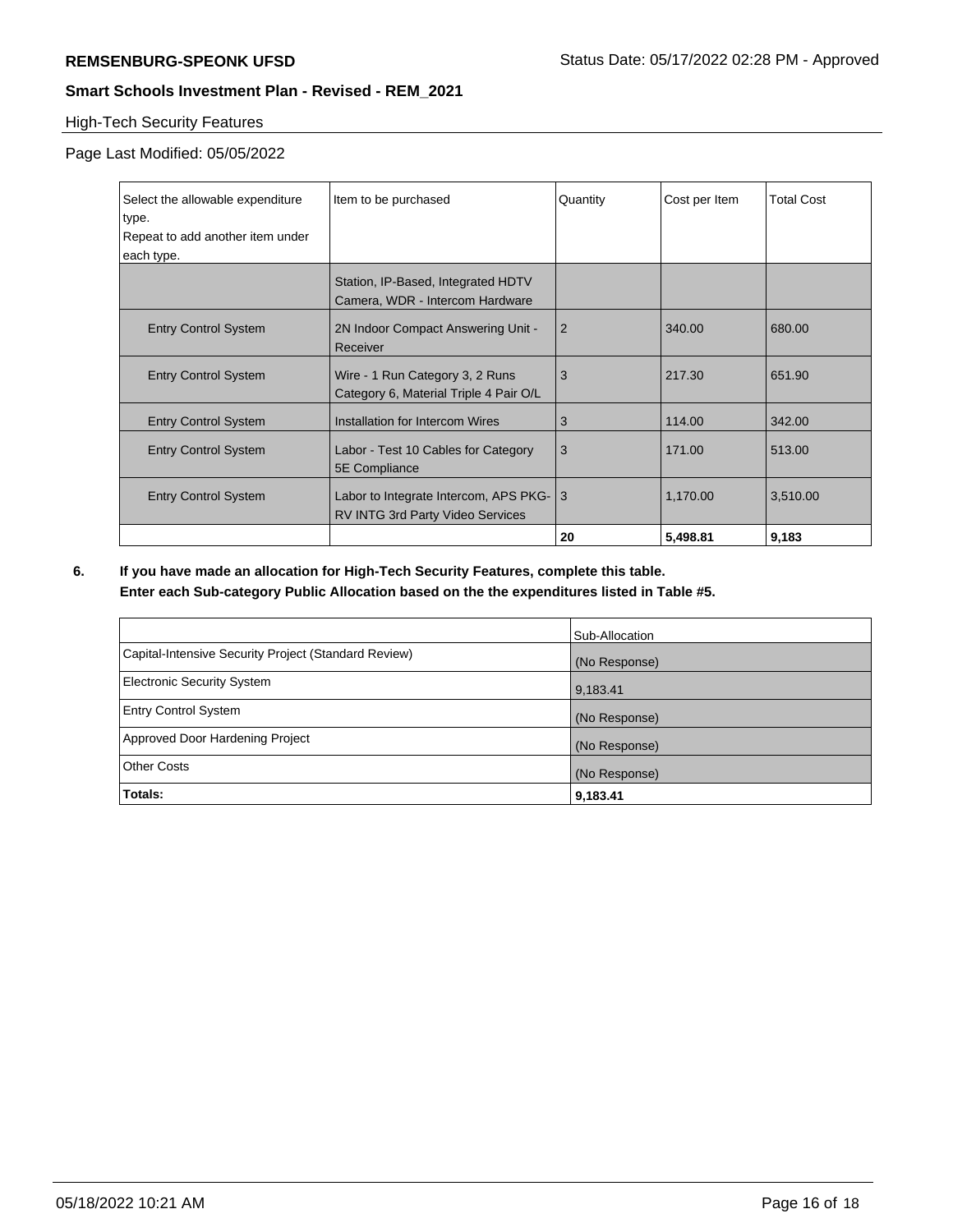# High-Tech Security Features

Page Last Modified: 05/05/2022

| Select the allowable expenditure | Item to be purchased                                                             | Quantity       | Cost per Item | <b>Total Cost</b> |
|----------------------------------|----------------------------------------------------------------------------------|----------------|---------------|-------------------|
| type.                            |                                                                                  |                |               |                   |
| Repeat to add another item under |                                                                                  |                |               |                   |
| each type.                       |                                                                                  |                |               |                   |
|                                  | Station, IP-Based, Integrated HDTV<br>Camera, WDR - Intercom Hardware            |                |               |                   |
| <b>Entry Control System</b>      | 2N Indoor Compact Answering Unit -<br>Receiver                                   | $\overline{2}$ | 340.00        | 680.00            |
| <b>Entry Control System</b>      | Wire - 1 Run Category 3, 2 Runs<br>Category 6, Material Triple 4 Pair O/L        | 3              | 217.30        | 651.90            |
| <b>Entry Control System</b>      | Installation for Intercom Wires                                                  | 3              | 114.00        | 342.00            |
| <b>Entry Control System</b>      | Labor - Test 10 Cables for Category<br>5E Compliance                             | 3              | 171.00        | 513.00            |
| <b>Entry Control System</b>      | Labor to Integrate Intercom, APS PKG-<br><b>RV INTG 3rd Party Video Services</b> | 3              | 1,170.00      | 3,510.00          |
|                                  |                                                                                  | 20             | 5,498.81      | 9,183             |

**6. If you have made an allocation for High-Tech Security Features, complete this table. Enter each Sub-category Public Allocation based on the the expenditures listed in Table #5.**

|                                                      | Sub-Allocation |
|------------------------------------------------------|----------------|
| Capital-Intensive Security Project (Standard Review) | (No Response)  |
| <b>Electronic Security System</b>                    | 9,183.41       |
| <b>Entry Control System</b>                          | (No Response)  |
| Approved Door Hardening Project                      | (No Response)  |
| <b>Other Costs</b>                                   | (No Response)  |
| Totals:                                              | 9,183.41       |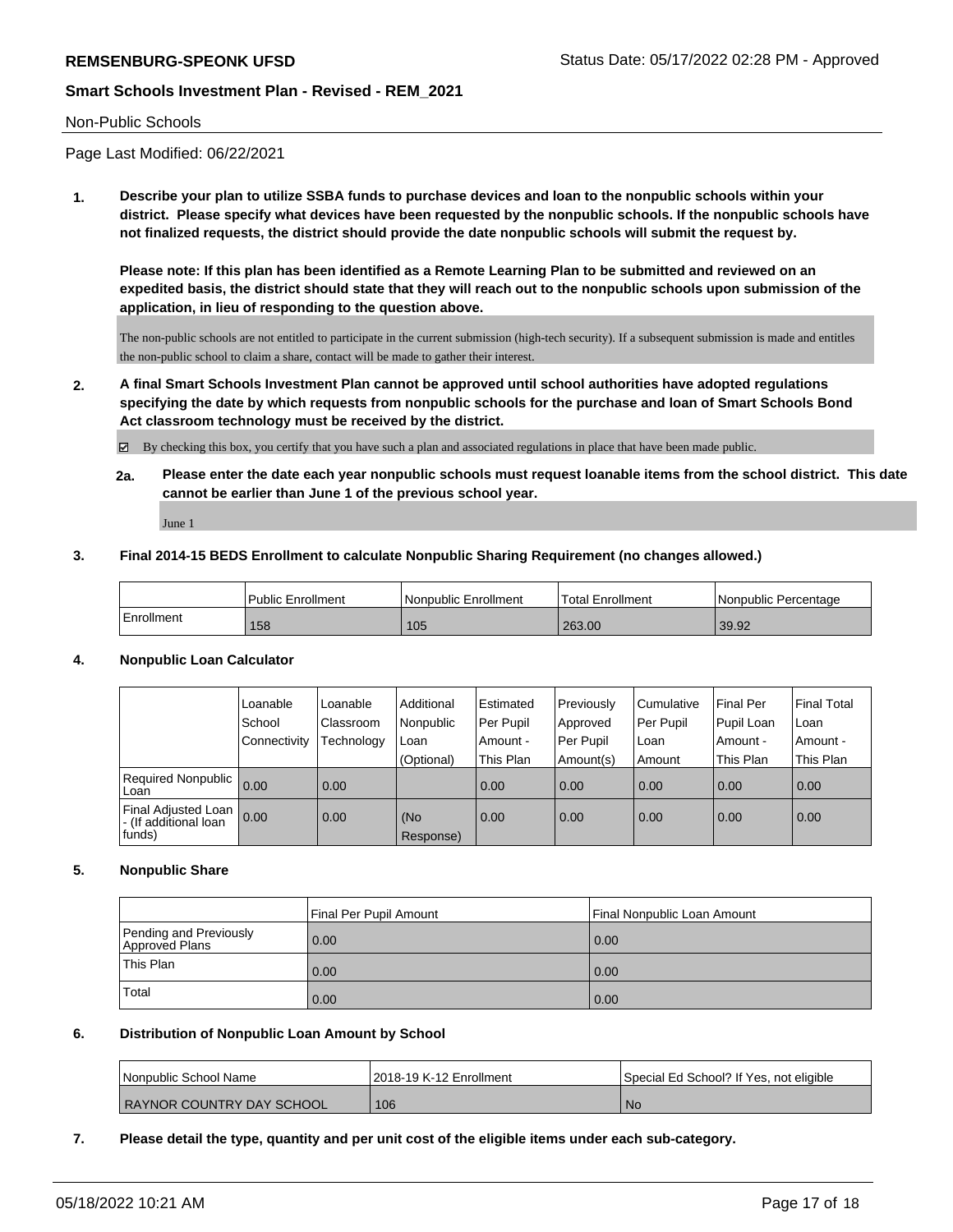#### Non-Public Schools

Page Last Modified: 06/22/2021

**1. Describe your plan to utilize SSBA funds to purchase devices and loan to the nonpublic schools within your district. Please specify what devices have been requested by the nonpublic schools. If the nonpublic schools have not finalized requests, the district should provide the date nonpublic schools will submit the request by.**

**Please note: If this plan has been identified as a Remote Learning Plan to be submitted and reviewed on an expedited basis, the district should state that they will reach out to the nonpublic schools upon submission of the application, in lieu of responding to the question above.**

The non-public schools are not entitled to participate in the current submission (high-tech security). If a subsequent submission is made and entitles the non-public school to claim a share, contact will be made to gather their interest.

**2. A final Smart Schools Investment Plan cannot be approved until school authorities have adopted regulations specifying the date by which requests from nonpublic schools for the purchase and loan of Smart Schools Bond Act classroom technology must be received by the district.**

 $\boxtimes$  By checking this box, you certify that you have such a plan and associated regulations in place that have been made public.

**2a. Please enter the date each year nonpublic schools must request loanable items from the school district. This date cannot be earlier than June 1 of the previous school year.**

June 1

#### **3. Final 2014-15 BEDS Enrollment to calculate Nonpublic Sharing Requirement (no changes allowed.)**

|            | <b>Public Enrollment</b> | Nonpublic Enrollment | <b>Total Enrollment</b> | l Nonpublic Percentage |
|------------|--------------------------|----------------------|-------------------------|------------------------|
| Enrollment | 158                      | 105                  | 263.00                  | 39.92                  |

#### **4. Nonpublic Loan Calculator**

|                                                          | Loanable     | Loanable   | Additional       | l Estimated | Previously | Cumulative | Final Per  | Final Total       |
|----------------------------------------------------------|--------------|------------|------------------|-------------|------------|------------|------------|-------------------|
|                                                          | School       | Classroom  | Nonpublic        | Per Pupil   | Approved   | Per Pupil  | Pupil Loan | ∣Loan             |
|                                                          | Connectivity | Technology | Loan             | Amount -    | Per Pupil  | Loan       | Amount -   | Amount -          |
|                                                          |              |            | (Optional)       | This Plan   | Amount(s)  | Amount     | This Plan  | This Plan         |
| <b>Required Nonpublic</b><br>Loan                        | 0.00         | 0.00       |                  | 0.00        | 0.00       | 0.00       | 0.00       | $\overline{0.00}$ |
| Final Adjusted Loan<br>I - (If additional loan<br>funds) | 0.00         | 0.00       | (No<br>Response) | 0.00        | 0.00       | 0.00       | 0.00       | 0.00              |

#### **5. Nonpublic Share**

|                                          | Final Per Pupil Amount | Final Nonpublic Loan Amount |
|------------------------------------------|------------------------|-----------------------------|
| Pending and Previously<br>Approved Plans | 0.00                   | 0.00                        |
| This Plan                                | 0.00                   | 0.00                        |
| Total                                    | 0.00                   | 0.00                        |

#### **6. Distribution of Nonpublic Loan Amount by School**

| l Nonpublic School Name   | 2018-19 K-12 Enrollment | Special Ed School? If Yes, not eligible |
|---------------------------|-------------------------|-----------------------------------------|
| RAYNOR COUNTRY DAY SCHOOL | 106                     | ' No                                    |

**7. Please detail the type, quantity and per unit cost of the eligible items under each sub-category.**